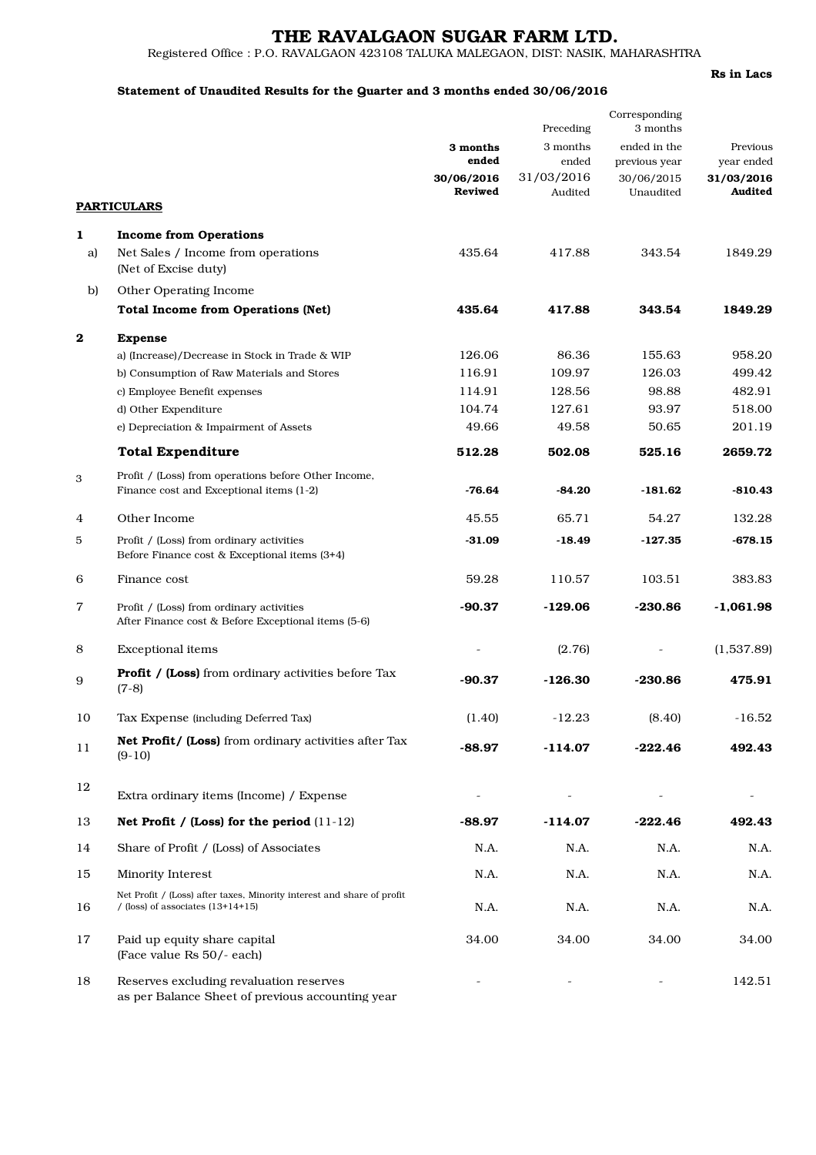# THE RAVALGAON SUGAR FARM LTD.

Rs in Lacs

Registered Office : P.O. RAVALGAON 423108 TALUKA MALEGAON, DIST: NASIK, MAHARASHTRA

## Statement of Unaudited Results for the Quarter and 3 months ended 30/06/2016

|          |                                                                                                                 |                   |                   | Corresponding                 |                        |
|----------|-----------------------------------------------------------------------------------------------------------------|-------------------|-------------------|-------------------------------|------------------------|
|          |                                                                                                                 |                   | Preceding         | 3 months                      |                        |
|          |                                                                                                                 | 3 months<br>ended | 3 months<br>ended | ended in the<br>previous year | Previous<br>year ended |
|          |                                                                                                                 | 30/06/2016        | 31/03/2016        | 30/06/2015                    | 31/03/2016             |
|          |                                                                                                                 | Reviwed           | Audited           | Unaudited                     | Audited                |
|          | <b>PARTICULARS</b>                                                                                              |                   |                   |                               |                        |
| 1        | <b>Income from Operations</b>                                                                                   |                   |                   |                               |                        |
| a)       | Net Sales / Income from operations<br>(Net of Excise duty)                                                      | 435.64            | 417.88            | 343.54                        | 1849.29                |
| b)       | Other Operating Income                                                                                          |                   |                   |                               |                        |
|          | <b>Total Income from Operations (Net)</b>                                                                       | 435.64            | 417.88            | 343.54                        | 1849.29                |
| $\bf{2}$ | <b>Expense</b>                                                                                                  |                   |                   |                               |                        |
|          | a) (Increase)/Decrease in Stock in Trade & WIP                                                                  | 126.06            | 86.36             | 155.63                        | 958.20                 |
|          | b) Consumption of Raw Materials and Stores                                                                      | 116.91            | 109.97            | 126.03                        | 499.42                 |
|          | c) Employee Benefit expenses                                                                                    | 114.91            | 128.56            | 98.88                         | 482.91                 |
|          | d) Other Expenditure                                                                                            | 104.74            | 127.61            | 93.97                         | 518.00                 |
|          | e) Depreciation & Impairment of Assets                                                                          | 49.66             | 49.58             | 50.65                         | 201.19                 |
|          | <b>Total Expenditure</b>                                                                                        | 512.28            | 502.08            | 525.16                        | 2659.72                |
| 3        | Profit / (Loss) from operations before Other Income,                                                            |                   |                   |                               |                        |
|          | Finance cost and Exceptional items (1-2)                                                                        | $-76.64$          | $-84.20$          | $-181.62$                     | $-810.43$              |
| 4        | Other Income                                                                                                    | 45.55             | 65.71             | 54.27                         | 132.28                 |
| 5        | Profit / (Loss) from ordinary activities<br>Before Finance cost & Exceptional items (3+4)                       | $-31.09$          | $-18.49$          | $-127.35$                     | -678.15                |
| 6        | Finance cost                                                                                                    | 59.28             | 110.57            | 103.51                        | 383.83                 |
| 7        | Profit / (Loss) from ordinary activities<br>After Finance cost & Before Exceptional items (5-6)                 | $-90.37$          | $-129.06$         | $-230.86$                     | $-1,061.98$            |
| 8        | <b>Exceptional items</b>                                                                                        |                   | (2.76)            |                               | (1,537.89)             |
| 9        | <b>Profit / (Loss)</b> from ordinary activities before Tax<br>$(7-8)$                                           | $-90.37$          | $-126.30$         | $-230.86$                     | 475.91                 |
| 10       | Tax Expense (including Deferred Tax)                                                                            | (1.40)            | $-12.23$          | (8.40)                        | -16.52                 |
| 11       | Net Profit/ (Loss) from ordinary activities after Tax<br>$(9-10)$                                               | -88.97            | -114.07           | -222.46                       | 492.43                 |
| 12       | Extra ordinary items (Income) / Expense                                                                         |                   |                   |                               |                        |
| 13       | Net Profit / (Loss) for the period $(11-12)$                                                                    | -88.97            | $-114.07$         | $-222.46$                     | 492.43                 |
| 14       | Share of Profit / (Loss) of Associates                                                                          | N.A.              | N.A.              | N.A.                          | N.A.                   |
| 15       | Minority Interest                                                                                               | N.A.              | N.A.              | N.A.                          | N.A.                   |
| 16       | Net Profit / (Loss) after taxes, Minority interest and share of profit<br>$/$ (loss) of associates $(13+14+15)$ | N.A.              | N.A.              | N.A.                          | N.A.                   |
| 17       | Paid up equity share capital<br>(Face value Rs 50/- each)                                                       | 34.00             | 34.00             | 34.00                         | 34.00                  |
| 18       | Reserves excluding revaluation reserves<br>as per Balance Sheet of previous accounting year                     |                   |                   |                               | 142.51                 |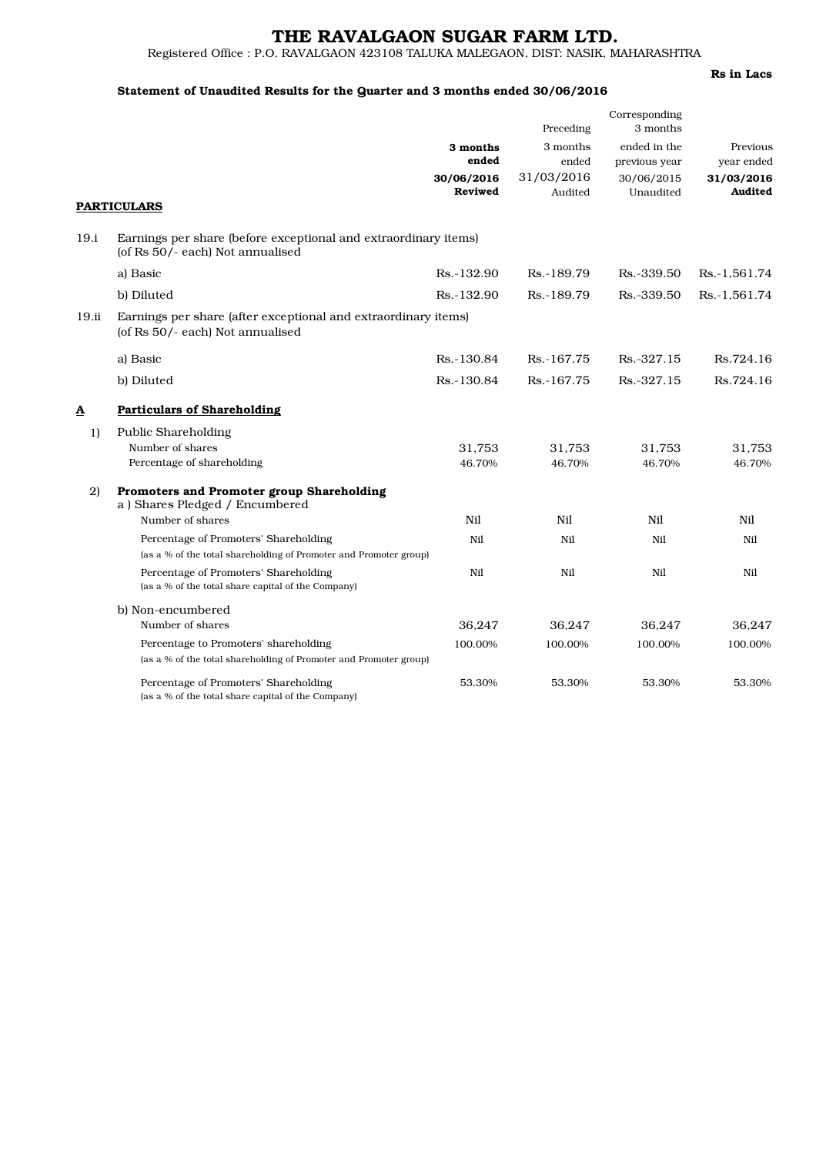# THE RAVALGAON SUGAR FARM LTD.

Registered Office : P.O. RAVALGAON 423108 TALUKA MALEGAON, DIST: NASIK, MAHARASHTRA

## Statement of Unaudited Results for the Quarter and 3 months ended 30/06/2016

|  |  | Rs in Lacs |
|--|--|------------|
|--|--|------------|

|       |                                                                                                            |                   | Preceding         | Corresponding<br>3 months     |                        |  |
|-------|------------------------------------------------------------------------------------------------------------|-------------------|-------------------|-------------------------------|------------------------|--|
|       |                                                                                                            | 3 months<br>ended | 3 months<br>ended | ended in the<br>previous year | Previous<br>year ended |  |
|       |                                                                                                            | 30/06/2016        | 31/03/2016        | 30/06/2015                    | 31/03/2016             |  |
|       | <b>PARTICULARS</b>                                                                                         | Reviwed           | Audited           | Unaudited                     | Audited                |  |
|       |                                                                                                            |                   |                   |                               |                        |  |
| 19.i  | Earnings per share (before exceptional and extraordinary items)<br>(of Rs 50/- each) Not annualised        |                   |                   |                               |                        |  |
|       | a) Basic                                                                                                   | Rs.-132.90        | Rs.-189.79        | Rs.-339.50                    | Rs.-1,561.74           |  |
|       | b) Diluted                                                                                                 | Rs.-132.90        | Rs.-189.79        | Rs. - 339.50                  | Rs.-1,561.74           |  |
| 19.ii | Earnings per share (after exceptional and extraordinary items)<br>(of Rs 50/- each) Not annualised         |                   |                   |                               |                        |  |
|       | a) Basic                                                                                                   | Rs.-130.84        | Rs.-167.75        | Rs.-327.15                    | Rs.724.16              |  |
|       | b) Diluted                                                                                                 | Rs.-130.84        | Rs.-167.75        | Rs.-327.15                    | Rs.724.16              |  |
| Δ     | <b>Particulars of Shareholding</b>                                                                         |                   |                   |                               |                        |  |
| 1)    | <b>Public Shareholding</b>                                                                                 |                   |                   |                               |                        |  |
|       | Number of shares                                                                                           | 31,753            | 31,753            | 31,753                        | 31,753                 |  |
|       | Percentage of shareholding                                                                                 | 46.70%            | 46.70%            | 46.70%                        | 46.70%                 |  |
| 2)    | Promoters and Promoter group Shareholding<br>a) Shares Pledged / Encumbered                                |                   |                   |                               |                        |  |
|       | Number of shares                                                                                           | Nil               | Nil               | Nil                           | Nil                    |  |
|       | Percentage of Promoters' Shareholding                                                                      | Nil               | Nil               | Nil                           | Nil                    |  |
|       | (as a % of the total shareholding of Promoter and Promoter group)                                          |                   |                   |                               |                        |  |
|       | Percentage of Promoters' Shareholding<br>(as a % of the total share capital of the Company)                | Nil               | Nil               | Nil                           | Nil                    |  |
|       | b) Non-encumbered                                                                                          |                   |                   |                               |                        |  |
|       | Number of shares                                                                                           | 36,247            | 36,247            | 36,247                        | 36,247                 |  |
|       | Percentage to Promoters' shareholding<br>(as a % of the total shareholding of Promoter and Promoter group) | 100.00%           | 100.00%           | 100.00%                       | 100.00%                |  |
|       | Percentage of Promoters' Shareholding<br>(as a % of the total share capital of the Company)                | 53.30%            | 53.30%            | 53.30%                        | 53.30%                 |  |